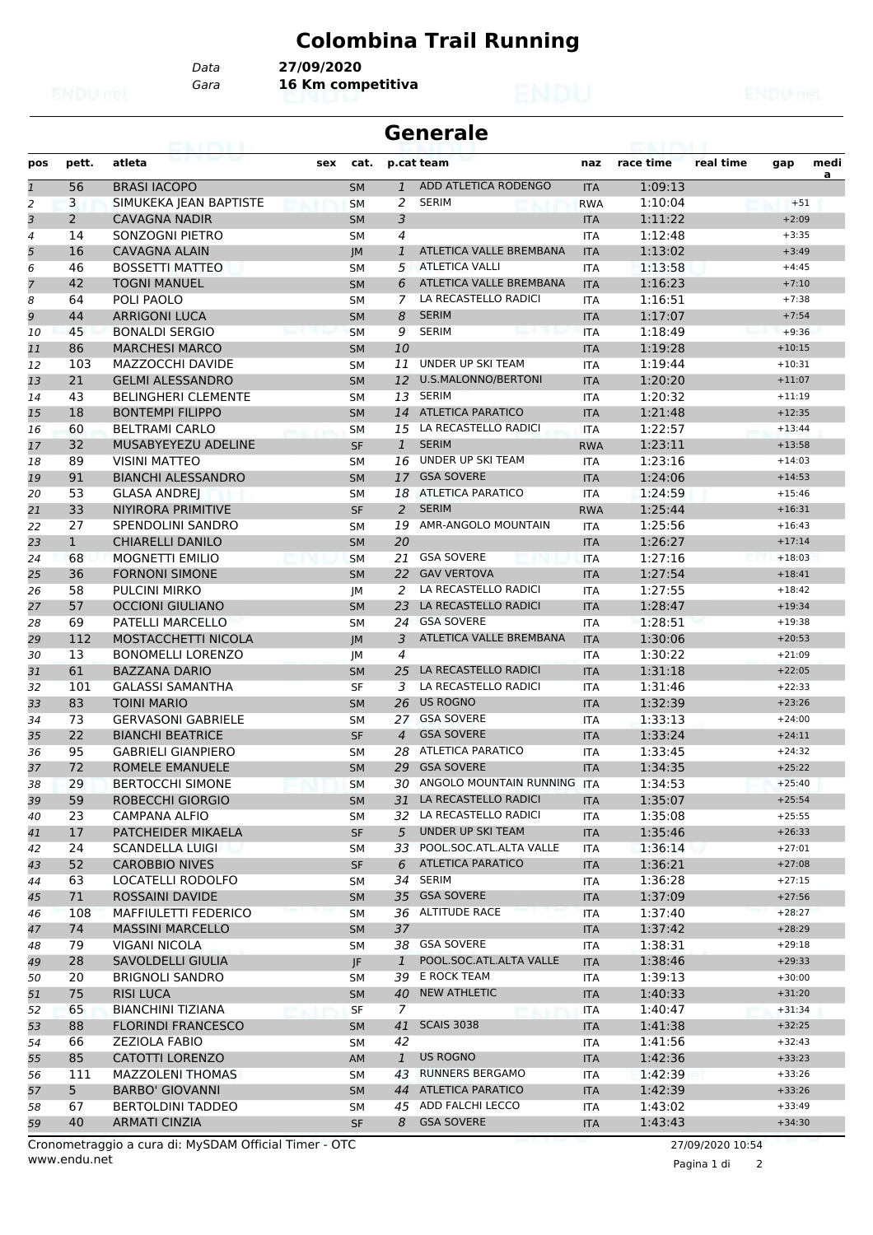## **Colombina Trail Running**

*Data* **27/09/2020**

*Gara* **16 Km competitiva**

|                |                |                            |     |           | <b>Generale</b> |                            |            |           |           |          |           |  |
|----------------|----------------|----------------------------|-----|-----------|-----------------|----------------------------|------------|-----------|-----------|----------|-----------|--|
| pos            | pett.          | atleta                     | sex | cat.      |                 | p.cat team                 | naz        | race time | real time | gap      | medi<br>a |  |
| $\overline{1}$ | 56             | <b>BRASI IACOPO</b>        |     | <b>SM</b> | $\mathbf{1}$    | ADD ATLETICA RODENGO       | <b>ITA</b> | 1:09:13   |           |          |           |  |
| 2              | 3              | SIMUKEKA JEAN BAPTISTE     |     | <b>SM</b> | 2               | <b>SERIM</b>               | <b>RWA</b> | 1:10:04   |           | $+51$    |           |  |
| 3              | $\overline{2}$ | <b>CAVAGNA NADIR</b>       |     | <b>SM</b> | 3               |                            | <b>ITA</b> | 1:11:22   |           | $+2:09$  |           |  |
| 4              | 14             | SONZOGNI PIETRO            |     | SΜ        | 4               |                            | <b>ITA</b> | 1:12:48   |           | $+3:35$  |           |  |
| 5              | 16             | <b>CAVAGNA ALAIN</b>       |     | IM        | 1               | ATLETICA VALLE BREMBANA    | <b>ITA</b> | 1:13:02   |           | $+3:49$  |           |  |
| 6              | 46             | <b>BOSSETTI MATTEO</b>     |     | <b>SM</b> | 5               | <b>ATLETICA VALLI</b>      | <b>ITA</b> | 1:13:58   |           | $+4:45$  |           |  |
| $\overline{7}$ | 42             | <b>TOGNI MANUEL</b>        |     | <b>SM</b> | 6               | ATLETICA VALLE BREMBANA    | <b>ITA</b> | 1:16:23   |           | $+7:10$  |           |  |
| 8              | 64             | POLI PAOLO                 |     | <b>SM</b> | 7               | LA RECASTELLO RADICI       | <b>ITA</b> | 1:16:51   |           | $+7:38$  |           |  |
| 9              | 44             | <b>ARRIGONI LUCA</b>       |     | <b>SM</b> | 8               | <b>SERIM</b>               | <b>ITA</b> | 1:17:07   |           | $+7:54$  |           |  |
| 10             | 45             | <b>BONALDI SERGIO</b>      |     | <b>SM</b> | 9               | <b>SERIM</b>               | <b>ITA</b> | 1:18:49   |           | $+9:36$  |           |  |
| 11             | 86             | <b>MARCHESI MARCO</b>      |     | <b>SM</b> | 10              |                            | <b>ITA</b> | 1:19:28   |           | $+10:15$ |           |  |
| 12             | 103            | MAZZOCCHI DAVIDE           |     | <b>SM</b> | 11              | UNDER UP SKI TEAM          | <b>ITA</b> | 1:19:44   |           | $+10:31$ |           |  |
| 13             | 21             | <b>GELMI ALESSANDRO</b>    |     | <b>SM</b> | 12              | U.S.MALONNO/BERTONI        | <b>ITA</b> | 1:20:20   |           | $+11:07$ |           |  |
| 14             | 43             | <b>BELINGHERI CLEMENTE</b> |     | <b>SM</b> | 13              | <b>SERIM</b>               | <b>ITA</b> | 1:20:32   |           | $+11:19$ |           |  |
| 15             | 18             | <b>BONTEMPI FILIPPO</b>    |     | <b>SM</b> | 14              | <b>ATLETICA PARATICO</b>   | <b>ITA</b> | 1:21:48   |           | $+12:35$ |           |  |
| 16             | 60             | <b>BELTRAMI CARLO</b>      |     | <b>SM</b> | 15              | LA RECASTELLO RADICI       | <b>ITA</b> | 1:22:57   |           | $+13:44$ |           |  |
| 17             | 32             | MUSABYEYEZU ADELINE        |     | <b>SF</b> | $\mathbf{1}$    | <b>SERIM</b>               | <b>RWA</b> | 1:23:11   |           | $+13:58$ |           |  |
| 18             | 89             | <b>VISINI MATTEO</b>       |     | <b>SM</b> | 16              | UNDER UP SKI TEAM          | <b>ITA</b> | 1:23:16   |           | $+14:03$ |           |  |
| 19             | 91             | <b>BIANCHI ALESSANDRO</b>  |     | <b>SM</b> | 17              | <b>GSA SOVERE</b>          | <b>ITA</b> | 1:24:06   |           | $+14:53$ |           |  |
| 20             | 53             | <b>GLASA ANDREJ</b>        |     | <b>SM</b> | 18              | <b>ATLETICA PARATICO</b>   | <b>ITA</b> | 1:24:59   |           | $+15:46$ |           |  |
| 21             | 33             | NIYIRORA PRIMITIVE         |     | <b>SF</b> | 2               | <b>SERIM</b>               | <b>RWA</b> | 1:25:44   |           | $+16:31$ |           |  |
| 22             | 27             | <b>SPENDOLINI SANDRO</b>   |     | <b>SM</b> | 19              | AMR-ANGOLO MOUNTAIN        | <b>ITA</b> | 1:25:56   |           | $+16:43$ |           |  |
| 23             | $\mathbf{1}$   | <b>CHIARELLI DANILO</b>    |     | <b>SM</b> | 20              |                            | <b>ITA</b> | 1:26:27   |           | $+17:14$ |           |  |
| 24             | 68             | <b>MOGNETTI EMILIO</b>     |     | <b>SM</b> | 21              | <b>GSA SOVERE</b>          | <b>ITA</b> | 1:27:16   |           | $+18:03$ |           |  |
| 25             | 36             | <b>FORNONI SIMONE</b>      |     | <b>SM</b> | 22              | <b>GAV VERTOVA</b>         | <b>ITA</b> | 1:27:54   |           | $+18:41$ |           |  |
| 26             | 58             | <b>PULCINI MIRKO</b>       |     | JМ        | 2               | LA RECASTELLO RADICI       | <b>ITA</b> | 1:27:55   |           | $+18:42$ |           |  |
| 27             | 57             | <b>OCCIONI GIULIANO</b>    |     | <b>SM</b> | 23              | LA RECASTELLO RADICI       | <b>ITA</b> | 1:28:47   |           | $+19:34$ |           |  |
| 28             | 69             | <b>PATELLI MARCELLO</b>    |     | <b>SM</b> |                 | 24 GSA SOVERE              | <b>ITA</b> | 1:28:51   |           | $+19:38$ |           |  |
| 29             | 112            | <b>MOSTACCHETTI NICOLA</b> |     | IM        | 3               | ATLETICA VALLE BREMBANA    | <b>ITA</b> | 1:30:06   |           | $+20:53$ |           |  |
| 30             | 13             | <b>BONOMELLI LORENZO</b>   |     | JМ        | 4               |                            | <b>ITA</b> | 1:30:22   |           | $+21:09$ |           |  |
| 31             | 61             | <b>BAZZANA DARIO</b>       |     | <b>SM</b> | 25              | LA RECASTELLO RADICI       | <b>ITA</b> | 1:31:18   |           | $+22:05$ |           |  |
| 32             | 101            | <b>GALASSI SAMANTHA</b>    |     | <b>SF</b> | 3               | LA RECASTELLO RADICI       | <b>ITA</b> | 1:31:46   |           | $+22:33$ |           |  |
| 33             | 83             | <b>TOINI MARIO</b>         |     | <b>SM</b> | 26              | <b>US ROGNO</b>            | <b>ITA</b> | 1:32:39   |           | $+23:26$ |           |  |
| 34             | 73             | <b>GERVASONI GABRIELE</b>  |     | <b>SM</b> |                 | 27 GSA SOVERE              | <b>ITA</b> | 1:33:13   |           | $+24:00$ |           |  |
| 35             | 22             | <b>BIANCHI BEATRICE</b>    |     | <b>SF</b> | $\overline{4}$  | <b>GSA SOVERE</b>          | <b>ITA</b> | 1:33:24   |           | $+24:11$ |           |  |
| 36             | 95             | <b>GABRIELI GIANPIERO</b>  |     | SM        | 28              | ATLETICA PARATICO          | <b>ITA</b> | 1:33:45   |           | $+24:32$ |           |  |
| 37             | 72             | <b>ROMELE EMANUELE</b>     |     | <b>SM</b> |                 | 29 GSA SOVERE              | <b>ITA</b> | 1:34:35   |           | $+25:22$ |           |  |
| 38             | 29             | <b>BERTOCCHI SIMONE</b>    |     | SM        |                 | 30 ANGOLO MOUNTAIN RUNNING | ITA        | 1:34:53   |           | $+25:40$ |           |  |
| 39             | 59             | ROBECCHI GIORGIO           |     | SM        |                 | 31 LA RECASTELLO RADICI    | <b>ITA</b> | 1:35:07   |           | $+25:54$ |           |  |
| 40             | 23             | <b>CAMPANA ALFIO</b>       |     | SM        |                 | 32 LA RECASTELLO RADICI    | ITA        | 1:35:08   |           | $+25:55$ |           |  |
| 41             | 17             | PATCHEIDER MIKAELA         |     | <b>SF</b> | 5               | UNDER UP SKI TEAM          | <b>ITA</b> | 1:35:46   |           | $+26:33$ |           |  |
| 42             | 24             | <b>SCANDELLA LUIGI</b>     |     | SМ        | 33              | POOL.SOC.ATL.ALTA VALLE    | ITA        | 1:36:14   |           | $+27:01$ |           |  |
| 43             | 52             | <b>CAROBBIO NIVES</b>      |     | <b>SF</b> | 6               | <b>ATLETICA PARATICO</b>   | <b>ITA</b> | 1:36:21   |           | $+27:08$ |           |  |
| 44             | 63             | LOCATELLI RODOLFO          |     | SМ        |                 | 34 SERIM                   | ITA        | 1:36:28   |           | $+27:15$ |           |  |
| 45             | 71             | ROSSAINI DAVIDE            |     | SM        |                 | 35 GSA SOVERE              | <b>ITA</b> | 1:37:09   |           | $+27:56$ |           |  |
| 46             | 108            | MAFFIULETTI FEDERICO       |     | <b>SM</b> |                 | 36 ALTITUDE RACE           | <b>ITA</b> | 1:37:40   |           | $+28:27$ |           |  |
| 47             | 74             | <b>MASSINI MARCELLO</b>    |     | <b>SM</b> | 37              |                            | <b>ITA</b> | 1:37:42   |           | $+28:29$ |           |  |
| 48             | 79             | VIGANI NICOLA              |     | SМ        |                 | 38 GSA SOVERE              | <b>ITA</b> | 1:38:31   |           | $+29:18$ |           |  |
| 49             | 28             | SAVOLDELLI GIULIA          |     | JF        | $\mathbf{1}$    | POOL.SOC.ATL.ALTA VALLE    | <b>ITA</b> | 1:38:46   |           | $+29:33$ |           |  |
| 50             | 20             | <b>BRIGNOLI SANDRO</b>     |     | SМ        | 39              | E ROCK TEAM                | ITA        | 1:39:13   |           | $+30:00$ |           |  |
| 51             | 75             | <b>RISI LUCA</b>           |     | SM        | 40              | <b>NEW ATHLETIC</b>        | <b>ITA</b> | 1:40:33   |           | $+31:20$ |           |  |
| 52             | 65             | <b>BIANCHINI TIZIANA</b>   |     | <b>SF</b> | $\overline{7}$  |                            | ITA        | 1:40:47   |           | $+31:34$ |           |  |
| 53             | 88             | <b>FLORINDI FRANCESCO</b>  |     | <b>SM</b> | 41              | <b>SCAIS 3038</b>          | <b>ITA</b> | 1:41:38   |           | $+32:25$ |           |  |
| 54             | 66             | <b>ZEZIOLA FABIO</b>       |     | SМ        | 42              |                            | <b>ITA</b> | 1:41:56   |           | $+32:43$ |           |  |
| 55             | 85             | CATOTTI LORENZO            |     | AM        | $\mathbf{1}$    | <b>US ROGNO</b>            | <b>ITA</b> | 1:42:36   |           | $+33:23$ |           |  |
| 56             | 111            | <b>MAZZOLENI THOMAS</b>    |     | SМ        |                 | 43 RUNNERS BERGAMO         | ITA        | 1:42:39   |           | $+33:26$ |           |  |
| 57             | 5 <sub>1</sub> | <b>BARBO' GIOVANNI</b>     |     | <b>SM</b> |                 | 44 ATLETICA PARATICO       | <b>ITA</b> | 1:42:39   |           | $+33:26$ |           |  |
| 58             | 67             | <b>BERTOLDINI TADDEO</b>   |     | SМ        |                 | 45 ADD FALCHI LECCO        | ITA        | 1:43:02   |           | $+33:49$ |           |  |
| 59             | 40             | <b>ARMATI CINZIA</b>       |     | <b>SF</b> |                 | 8 GSA SOVERE               | <b>ITA</b> | 1:43:43   |           | $+34:30$ |           |  |

Pagina 1 di 2